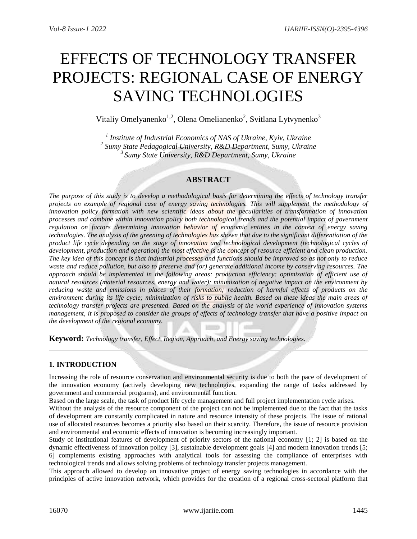# EFFECTS OF TECHNOLOGY TRANSFER PROJECTS: REGIONAL CASE OF ENERGY SAVING TECHNOLOGIES

Vitaliy Omelyanenko<sup>1,2</sup>, Olena Omelianenko<sup>2</sup>, Svitlana Lytvynenko<sup>3</sup>

*1 Institute of Industrial Economics of NAS of Ukraine, Kyiv, Ukraine 2 Sumy State Pedagogical University, R&D Department, Sumy, Ukraine <sup>3</sup>Sumy State University, R&D Department, Sumy, Ukraine*

## **ABSTRACT**

*The purpose of this study is to develop a methodological basis for determining the effects of technology transfer projects on example of regional case of energy saving technologies. This will supplement the methodology of innovation policy formation with new scientific ideas about the peculiarities of transformation of innovation processes and combine within innovation policy both technological trends and the potential impact of government regulation on factors determining innovation behavior of economic entities in the context of energy saving technologies. The analysis of the greening of technologies has shown that due to the significant differentiation of the product life cycle depending on the stage of innovation and technological development (technological cycles of development, production and operation) the most effective is the concept of resource efficient and clean production. The key idea of this concept is that industrial processes and functions should be improved so as not only to reduce waste and reduce pollution, but also to preserve and (or) generate additional income by conserving resources. The*  approach should be implemented in the following areas: production efficiency: optimization of efficient use of *natural resources (material resources, energy and water); minimization of negative impact on the environment by reducing waste and emissions in places of their formation; reduction of harmful effects of products on the environment during its life cycle; minimization of risks to public health. Based on these ideas the main areas of technology transfer projects are presented. Based on the analysis of the world experience of innovation systems management, it is proposed to consider the groups of effects of technology transfer that have a positive impact on the development of the regional economy.*

**Keyword:** *Technology transfer, Effect, Region, Approach, and Energy saving technologies.*

## **1. INTRODUCTION**

Increasing the role of resource conservation and environmental security is due to both the pace of development of the innovation economy (actively developing new technologies, expanding the range of tasks addressed by government and commercial programs), and environmental function.

Based on the large scale, the task of product life cycle management and full project implementation cycle arises.

Without the analysis of the resource component of the project can not be implemented due to the fact that the tasks of development are constantly complicated in nature and resource intensity of these projects. The issue of rational use of allocated resources becomes a priority also based on their scarcity. Therefore, the issue of resource provision and environmental and economic effects of innovation is becoming increasingly important.

Study of institutional features of development of priority sectors of the national economy [1; 2] is based on the dynamic effectiveness of innovation policy [3], sustainable development goals [4] and modern innovation trends [5; 6] complements existing approaches with analytical tools for assessing the compliance of enterprises with technological trends and allows solving problems of technology transfer projects management.

This approach allowed to develop an innovative project of energy saving technologies in accordance with the principles of active innovation network, which provides for the creation of a regional cross-sectoral platform that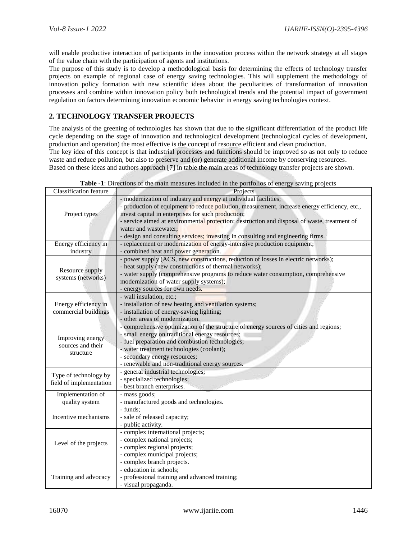will enable productive interaction of participants in the innovation process within the network strategy at all stages of the value chain with the participation of agents and institutions.

The purpose of this study is to develop a methodological basis for determining the effects of technology transfer projects on example of regional case of energy saving technologies. This will supplement the methodology of innovation policy formation with new scientific ideas about the peculiarities of transformation of innovation processes and combine within innovation policy both technological trends and the potential impact of government regulation on factors determining innovation economic behavior in energy saving technologies context.

## **2. TECHNOLOGY TRANSFER PROJECTS**

The analysis of the greening of technologies has shown that due to the significant differentiation of the product life cycle depending on the stage of innovation and technological development (technological cycles of development, production and operation) the most effective is the concept of resource efficient and clean production. The key idea of this concept is that industrial processes and functions should be improved so as not only to reduce

waste and reduce pollution, but also to preserve and (or) generate additional income by conserving resources.

Based on these ideas and authors approach [7] in table the main areas of technology transfer projects are shown.

| <b>Classification feature</b>                      | Projects                                                                                                                                                                                                                                                                                                                                                                                                                             |
|----------------------------------------------------|--------------------------------------------------------------------------------------------------------------------------------------------------------------------------------------------------------------------------------------------------------------------------------------------------------------------------------------------------------------------------------------------------------------------------------------|
| Project types                                      | - modernization of industry and energy at individual facilities;<br>- production of equipment to reduce pollution, measurement, increase energy efficiency, etc.,<br>invest capital in enterprises for such production;<br>- service aimed at environmental protection: destruction and disposal of waste, treatment of<br>water and wastewater:<br>- design and consulting services; investing in consulting and engineering firms. |
| Energy efficiency in                               | - replacement or modernization of energy-intensive production equipment;                                                                                                                                                                                                                                                                                                                                                             |
| industry<br>Resource supply<br>systems (networks)  | - combined heat and power generation.<br>- power supply (ACS, new constructions, reduction of losses in electric networks);<br>- heat supply (new constructions of thermal networks);<br>- water supply (comprehensive programs to reduce water consumption, comprehensive<br>modernization of water supply systems);<br>- energy sources for own needs.                                                                             |
| Energy efficiency in<br>commercial buildings       | - wall insulation, etc.;<br>- installation of new heating and ventilation systems;<br>- installation of energy-saving lighting;<br>- other areas of modernization.                                                                                                                                                                                                                                                                   |
| Improving energy<br>sources and their<br>structure | - comprehensive optimization of the structure of energy sources of cities and regions;<br>- small energy on traditional energy resources;<br>- fuel preparation and combustion technologies;<br>- water treatment technologies (coolant);<br>- secondary energy resources;<br>- renewable and non-traditional energy sources.                                                                                                        |
| Type of technology by<br>field of implementation   | - general industrial technologies;<br>- specialized technologies;<br>- best branch enterprises.                                                                                                                                                                                                                                                                                                                                      |
| Implementation of                                  | - mass goods;                                                                                                                                                                                                                                                                                                                                                                                                                        |
| quality system<br>Incentive mechanisms             | - manufactured goods and technologies.<br>- funds;<br>- sale of released capacity;<br>- public activity.                                                                                                                                                                                                                                                                                                                             |
| Level of the projects                              | - complex international projects;<br>- complex national projects;<br>- complex regional projects;<br>- complex municipal projects;<br>- complex branch projects.                                                                                                                                                                                                                                                                     |
| Training and advocacy                              | - education in schools;<br>- professional training and advanced training;<br>- visual propaganda.                                                                                                                                                                                                                                                                                                                                    |

**Table -1**: Directions of the main measures included in the portfolios of energy saving projects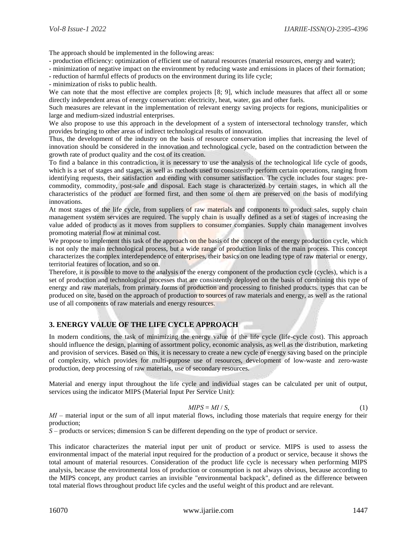The approach should be implemented in the following areas:

- production efficiency: optimization of efficient use of natural resources (material resources, energy and water);

- minimization of negative impact on the environment by reducing waste and emissions in places of their formation;

- reduction of harmful effects of products on the environment during its life cycle;

- minimization of risks to public health.

We can note that the most effective are complex projects [8; 9], which include measures that affect all or some directly independent areas of energy conservation: electricity, heat, water, gas and other fuels.

Such measures are relevant in the implementation of relevant energy saving projects for regions, municipalities or large and medium-sized industrial enterprises.

We also propose to use this approach in the development of a system of intersectoral technology transfer, which provides bringing to other areas of indirect technological results of innovation.

Thus, the development of the industry on the basis of resource conservation implies that increasing the level of innovation should be considered in the innovation and technological cycle, based on the contradiction between the growth rate of product quality and the cost of its creation.

To find a balance in this contradiction, it is necessary to use the analysis of the technological life cycle of goods, which is a set of stages and stages, as well as methods used to consistently perform certain operations, ranging from identifying requests, their satisfaction and ending with consumer satisfaction. The cycle includes four stages: precommodity, commodity, post-sale and disposal. Each stage is characterized by certain stages, in which all the characteristics of the product are formed first, and then some of them are preserved on the basis of modifying innovations.

At most stages of the life cycle, from suppliers of raw materials and components to product sales, supply chain management system services are required. The supply chain is usually defined as a set of stages of increasing the value added of products as it moves from suppliers to consumer companies. Supply chain management involves promoting material flow at minimal cost.

We propose to implement this task of the approach on the basis of the concept of the energy production cycle, which is not only the main technological process, but a wide range of production links of the main process. This concept characterizes the complex interdependence of enterprises, their basics on one leading type of raw material or energy, territorial features of location, and so on.

Therefore, it is possible to move to the analysis of the energy component of the production cycle (cycles), which is a set of production and technological processes that are consistently deployed on the basis of combining this type of energy and raw materials, from primary forms of production and processing to finished products. types that can be produced on site, based on the approach of production to sources of raw materials and energy, as well as the rational use of all components of raw materials and energy resources.

## **3. ENERGY VALUE OF THE LIFE CYCLE APPROACH**

In modern conditions, the task of minimizing the energy value of the life cycle (life-cycle cost). This approach should influence the design, planning of assortment policy, economic analysis, as well as the distribution, marketing and provision of services. Based on this, it is necessary to create a new cycle of energy saving based on the principle of complexity, which provides for multi-purpose use of resources, development of low-waste and zero-waste production, deep processing of raw materials, use of secondary resources.

Material and energy input throughout the life cycle and individual stages can be calculated per unit of output, services using the indicator MIPS (Material Input Per Service Unit):

$$
MIPS = MI / S, \tag{1}
$$

*MI* – material input or the sum of all input material flows, including those materials that require energy for their production;

*S* – products or services; dimension S can be different depending on the type of product or service.

This indicator characterizes the material input per unit of product or service. MIPS is used to assess the environmental impact of the material input required for the production of a product or service, because it shows the total amount of material resources. Consideration of the product life cycle is necessary when performing MIPS analysis, because the environmental loss of production or consumption is not always obvious, because according to the MIPS concept, any product carries an invisible "environmental backpack", defined as the difference between total material flows throughout product life cycles and the useful weight of this product and are relevant.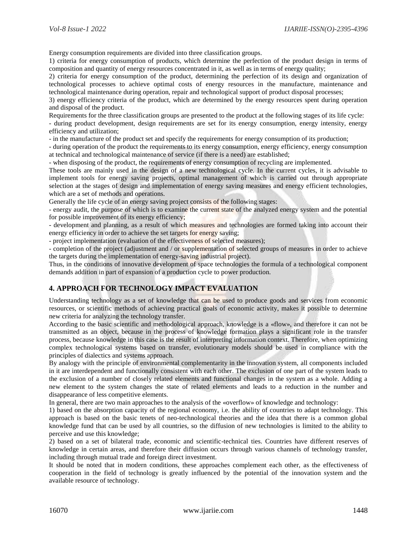Energy consumption requirements are divided into three classification groups.

1) criteria for energy consumption of products, which determine the perfection of the product design in terms of composition and quantity of energy resources concentrated in it, as well as in terms of energy quality;

2) criteria for energy consumption of the product, determining the perfection of its design and organization of technological processes to achieve optimal costs of energy resources in the manufacture, maintenance and technological maintenance during operation, repair and technological support of product disposal processes;

3) energy efficiency criteria of the product, which are determined by the energy resources spent during operation and disposal of the product.

Requirements for the three classification groups are presented to the product at the following stages of its life cycle:

- during product development, design requirements are set for its energy consumption, energy intensity, energy efficiency and utilization;

- in the manufacture of the product set and specify the requirements for energy consumption of its production;

- during operation of the product the requirements to its energy consumption, energy efficiency, energy consumption at technical and technological maintenance of service (if there is a need) are established;

- when disposing of the product, the requirements of energy consumption of recycling are implemented.

These tools are mainly used in the design of a new technological cycle. In the current cycles, it is advisable to implement tools for energy saving projects, optimal management of which is carried out through appropriate selection at the stages of design and implementation of energy saving measures and energy efficient technologies, which are a set of methods and operations.

Generally the life cycle of an energy saving project consists of the following stages:

- energy audit, the purpose of which is to examine the current state of the analyzed energy system and the potential for possible improvement of its energy efficiency;

- development and planning, as a result of which measures and technologies are formed taking into account their energy efficiency in order to achieve the set targets for energy saving;

- project implementation (evaluation of the effectiveness of selected measures);

- completion of the project (adjustment and / or supplementation of selected groups of measures in order to achieve the targets during the implementation of energy-saving industrial project).

Thus, in the conditions of innovative development of space technologies the formula of a technological component demands addition in part of expansion of a production cycle to power production.

#### **4. APPROACH FOR TECHNOLOGY IMPACT EVALUATION**

Understanding technology as a set of knowledge that can be used to produce goods and services from economic resources, or scientific methods of achieving practical goals of economic activity, makes it possible to determine new criteria for analyzing the technology transfer.

According to the basic scientific and methodological approach, knowledge is a «flow», and therefore it can not be transmitted as an object, because in the process of knowledge formation plays a significant role in the transfer process, because knowledge in this case is the result of interpreting information context. Therefore, when optimizing complex technological systems based on transfer, evolutionary models should be used in compliance with the principles of dialectics and systems approach.

By analogy with the principle of environmental complementarity in the innovation system, all components included in it are interdependent and functionally consistent with each other. The exclusion of one part of the system leads to the exclusion of a number of closely related elements and functional changes in the system as a whole. Adding a new element to the system changes the state of related elements and leads to a reduction in the number and disappearance of less competitive elements.

In general, there are two main approaches to the analysis of the «overflow» of knowledge and technology:

1) based on the absorption capacity of the regional economy, i.e. the ability of countries to adapt technology. This approach is based on the basic tenets of neo-technological theories and the idea that there is a common global knowledge fund that can be used by all countries, so the diffusion of new technologies is limited to the ability to perceive and use this knowledge;

2) based on a set of bilateral trade, economic and scientific-technical ties. Countries have different reserves of knowledge in certain areas, and therefore their diffusion occurs through various channels of technology transfer, including through mutual trade and foreign direct investment.

It should be noted that in modern conditions, these approaches complement each other, as the effectiveness of cooperation in the field of technology is greatly influenced by the potential of the innovation system and the available resource of technology.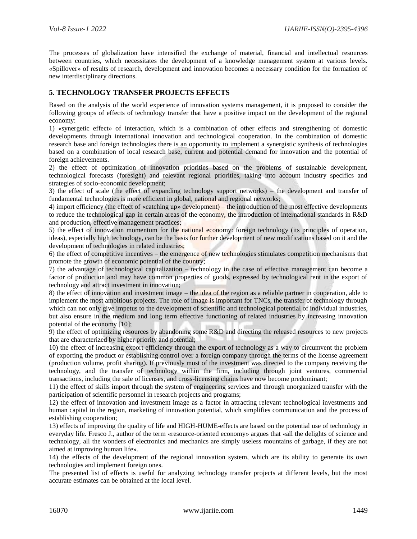The processes of globalization have intensified the exchange of material, financial and intellectual resources between countries, which necessitates the development of a knowledge management system at various levels. «Spillover» of results of research, development and innovation becomes a necessary condition for the formation of new interdisciplinary directions.

### **5. TECHNOLOGY TRANSFER PROJECTS EFFECTS**

Based on the analysis of the world experience of innovation systems management, it is proposed to consider the following groups of effects of technology transfer that have a positive impact on the development of the regional economy:

1) «synergetic effect» of interaction, which is a combination of other effects and strengthening of domestic developments through international innovation and technological cooperation. In the combination of domestic research base and foreign technologies there is an opportunity to implement a synergistic synthesis of technologies based on a combination of local research base, current and potential demand for innovation and the potential of foreign achievements.

2) the effect of optimization of innovation priorities based on the problems of sustainable development, technological forecasts (foresight) and relevant regional priorities, taking into account industry specifics and strategies of socio-economic development;

3) the effect of scale (the effect of expanding technology support networks) – the development and transfer of fundamental technologies is more efficient in global, national and regional networks;

4) import efficiency (the effect of «catching up» development) – the introduction of the most effective developments to reduce the technological gap in certain areas of the economy, the introduction of international standards in R&D and production, effective management practices;

5) the effect of innovation momentum for the national economy: foreign technology (its principles of operation, ideas), especially high technology, can be the basis for further development of new modifications based on it and the development of technologies in related industries;

6) the effect of competitive incentives – the emergence of new technologies stimulates competition mechanisms that promote the growth of economic potential of the country;

7) the advantage of technological capitalization – technology in the case of effective management can become a factor of production and may have common properties of goods, expressed by technological rent in the export of technology and attract investment in innovation;

8) the effect of innovation and investment image – the idea of the region as a reliable partner in cooperation, able to implement the most ambitious projects. The role of image is important for TNCs, the transfer of technology through which can not only give impetus to the development of scientific and technological potential of individual industries, but also ensure in the medium and long term effective functioning of related industries by increasing innovation potential of the economy [10];

9) the effect of optimizing resources by abandoning some R&D and directing the released resources to new projects that are characterized by higher priority and potential;

10) the effect of increasing export efficiency through the export of technology as a way to circumvent the problem of exporting the product or establishing control over a foreign company through the terms of the license agreement (production volume, profit sharing). If previously most of the investment was directed to the company receiving the technology, and the transfer of technology within the firm, including through joint ventures, commercial transactions, including the sale of licenses, and cross-licensing chains have now become predominant;

11) the effect of skills import through the system of engineering services and through unorganized transfer with the participation of scientific personnel in research projects and programs;

12) the effect of innovation and investment image as a factor in attracting relevant technological investments and human capital in the region, marketing of innovation potential, which simplifies communication and the process of establishing cooperation;

13) effects of improving the quality of life and HIGH-HUME-effects are based on the potential use of technology in everyday life. Fresco J., author of the term «resource-oriented economy» argues that «all the delights of science and technology, all the wonders of electronics and mechanics are simply useless mountains of garbage, if they are not aimed at improving human life».

14) the effects of the development of the regional innovation system, which are its ability to generate its own technologies and implement foreign ones.

The presented list of effects is useful for analyzing technology transfer projects at different levels, but the most accurate estimates can be obtained at the local level.